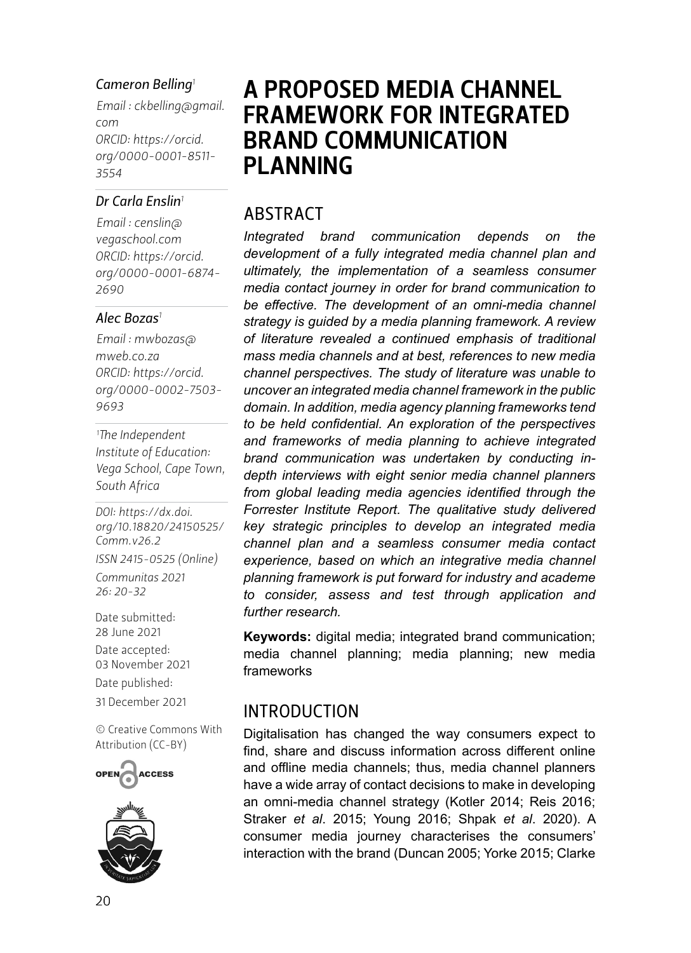#### *Cameron Belling<sup>1</sup>*

*Email : [ckbelling@gmail.](mailto:ckbelling@gmail.com) [com](mailto:ckbelling@gmail.com) ORCID: [https://orcid.](https://orcid.org/0000-0001-8511-3554) [org/](https://orcid.org/0000-0001-8511-3554)0000-0001-8511- 3554*

#### *Dr Carla Enslin<sup>1</sup>*

*Email : [censlin@](mailto:censlin@vegaschool.com) [vegaschool.com](mailto:censlin@vegaschool.com) ORCID: [https://orcid.](https://orcid.org/0000-0001-6874-2690) [org/](https://orcid.org/0000-0001-6874-2690)0000-0001-6874- 2690*

#### *Alec Bozas<sup>1</sup>*

*Email : [mwbozas@](mailto:mwbozas@mweb.co.za) [mweb.co.za](mailto:mwbozas@mweb.co.za) ORCID: [https://orcid.](https://orcid.org/0000-0002-7503-9693) [org/](https://orcid.org/0000-0002-7503-9693)0000-0002-7503- 9693*

*1 The Independent Institute of Education: Vega School, Cape Town, South Africa*

*DOI: [https://dx.doi.](https://dx.doi.org/10.18820/24150525/Comm.v26.2) [org/10.18820/24150525/](https://dx.doi.org/10.18820/24150525/Comm.v26.2) [Comm.v](https://dx.doi.org/10.18820/24150525/Comm.v26.2)26.2*

*ISSN 2415-0525 (Online) Communitas 2021 26: 20-32*

Date submitted: 28 June 2021 Date accepted: 03 November 2021 Date published: 31 December 2021

[© Creative Commons With](https://creativecommons.org/licenses/by/2.0/za/)  [Attribution \(CC-BY\)](https://creativecommons.org/licenses/by/2.0/za/)





# A PROPOSED MEDIA CHANNEL FRAMEWORK FOR INTEGRATED BRAND COMMUNICATION PLANNING

### ABSTRACT

*Integrated brand communication depends on the development of a fully integrated media channel plan and ultimately, the implementation of a seamless consumer media contact journey in order for brand communication to be effective. The development of an omni-media channel strategy is guided by a media planning framework. A review of literature revealed a continued emphasis of traditional mass media channels and at best, references to new media channel perspectives. The study of literature was unable to uncover an integrated media channel framework in the public domain. In addition, media agency planning frameworks tend to be held confidential. An exploration of the perspectives and frameworks of media planning to achieve integrated brand communication was undertaken by conducting indepth interviews with eight senior media channel planners from global leading media agencies identified through the Forrester Institute Report. The qualitative study delivered key strategic principles to develop an integrated media channel plan and a seamless consumer media contact experience, based on which an integrative media channel planning framework is put forward for industry and academe to consider, assess and test through application and further research.*

**Keywords:** digital media; integrated brand communication; media channel planning; media planning; new media frameworks

#### INTRODUCTION

Digitalisation has changed the way consumers expect to find, share and discuss information across different online and offline media channels; thus, media channel planners have a wide array of contact decisions to make in developing an omni-media channel strategy (Kotler 2014; Reis 2016; Straker *et al*. 2015; Young 2016; Shpak *et al*. 2020). A consumer media journey characterises the consumers' interaction with the brand (Duncan 2005; Yorke 2015; Clarke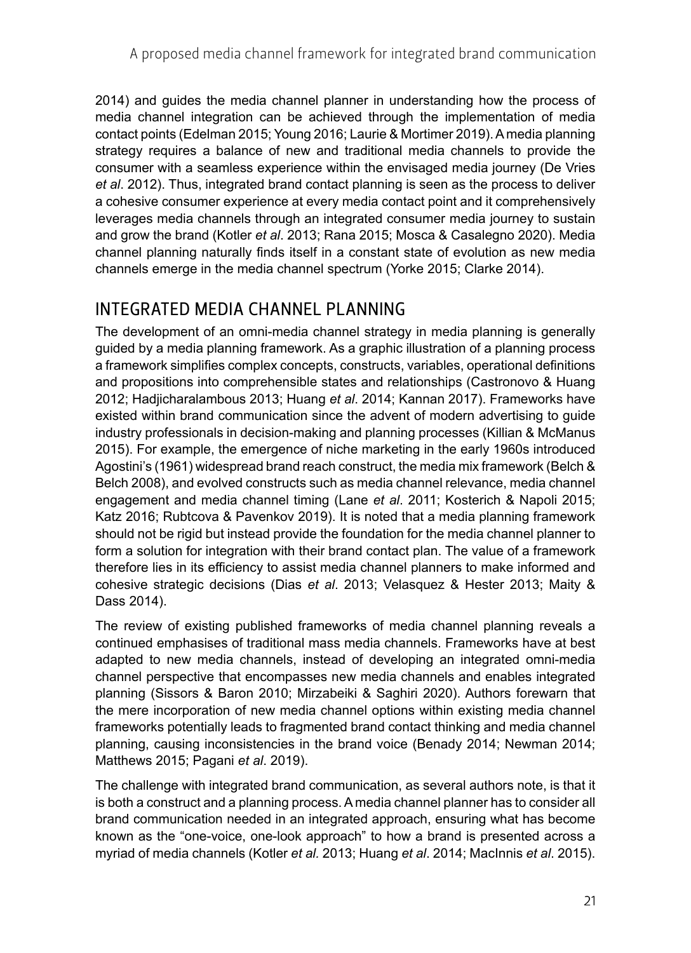2014) and guides the media channel planner in understanding how the process of media channel integration can be achieved through the implementation of media contact points (Edelman 2015; Young 2016; Laurie & Mortimer 2019). A media planning strategy requires a balance of new and traditional media channels to provide the consumer with a seamless experience within the envisaged media journey (De Vries *et al*. 2012). Thus, integrated brand contact planning is seen as the process to deliver a cohesive consumer experience at every media contact point and it comprehensively leverages media channels through an integrated consumer media journey to sustain and grow the brand (Kotler *et al*. 2013; Rana 2015; Mosca & Casalegno 2020). Media channel planning naturally finds itself in a constant state of evolution as new media channels emerge in the media channel spectrum (Yorke 2015; Clarke 2014).

### INTEGRATED MEDIA CHANNEL PLANNING

The development of an omni-media channel strategy in media planning is generally guided by a media planning framework. As a graphic illustration of a planning process a framework simplifies complex concepts, constructs, variables, operational definitions and propositions into comprehensible states and relationships (Castronovo & Huang 2012; Hadjicharalambous 2013; Huang *et al*. 2014; Kannan 2017). Frameworks have existed within brand communication since the advent of modern advertising to guide industry professionals in decision-making and planning processes (Killian & McManus 2015). For example, the emergence of niche marketing in the early 1960s introduced Agostini's (1961) widespread brand reach construct, the media mix framework (Belch & Belch 2008), and evolved constructs such as media channel relevance, media channel engagement and media channel timing (Lane *et al*. 2011; Kosterich & Napoli 2015; Katz 2016; Rubtcova & Pavenkov 2019). It is noted that a media planning framework should not be rigid but instead provide the foundation for the media channel planner to form a solution for integration with their brand contact plan. The value of a framework therefore lies in its efficiency to assist media channel planners to make informed and cohesive strategic decisions (Dias *et al*. 2013; Velasquez & Hester 2013; Maity & Dass 2014).

The review of existing published frameworks of media channel planning reveals a continued emphasises of traditional mass media channels. Frameworks have at best adapted to new media channels, instead of developing an integrated omni-media channel perspective that encompasses new media channels and enables integrated planning (Sissors & Baron 2010; Mirzabeiki & Saghiri 2020). Authors forewarn that the mere incorporation of new media channel options within existing media channel frameworks potentially leads to fragmented brand contact thinking and media channel planning, causing inconsistencies in the brand voice (Benady 2014; Newman 2014; Matthews 2015; Pagani *et al*. 2019).

The challenge with integrated brand communication, as several authors note, is that it is both a construct and a planning process. A media channel planner has to consider all brand communication needed in an integrated approach, ensuring what has become known as the "one-voice, one-look approach" to how a brand is presented across a myriad of media channels (Kotler *et al.* 2013; Huang *et al*. 2014; MacInnis *et al*. 2015).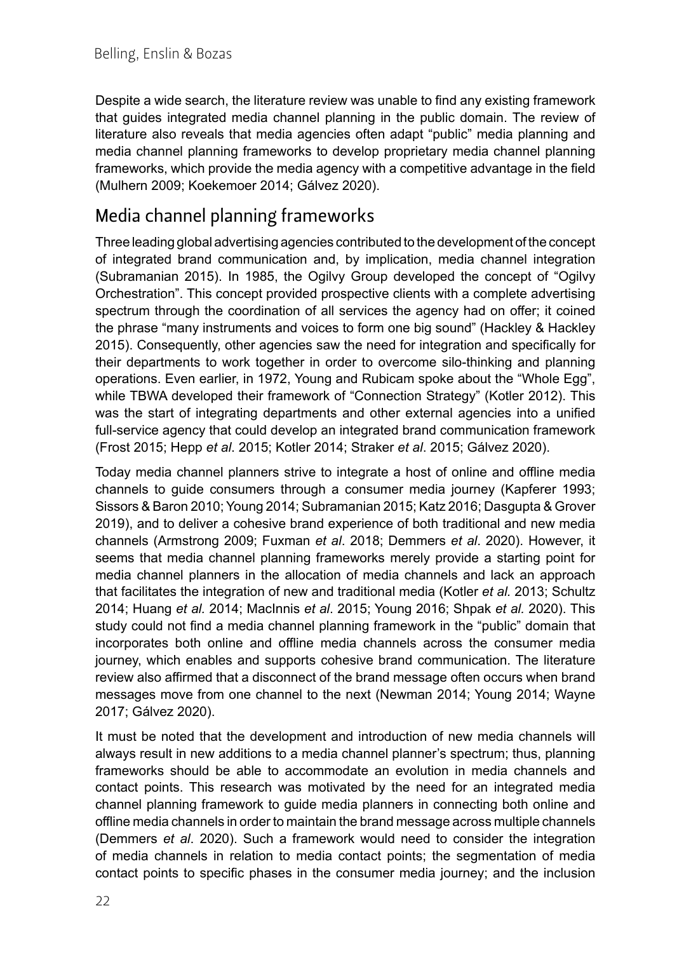Despite a wide search, the literature review was unable to find any existing framework that guides integrated media channel planning in the public domain. The review of literature also reveals that media agencies often adapt "public" media planning and media channel planning frameworks to develop proprietary media channel planning frameworks, which provide the media agency with a competitive advantage in the field (Mulhern 2009; Koekemoer 2014; Gálvez 2020).

# Media channel planning frameworks

Three leading global advertising agencies contributed to the development of the concept of integrated brand communication and, by implication, media channel integration (Subramanian 2015). In 1985, the Ogilvy Group developed the concept of "Ogilvy Orchestration". This concept provided prospective clients with a complete advertising spectrum through the coordination of all services the agency had on offer; it coined the phrase "many instruments and voices to form one big sound" (Hackley & Hackley 2015). Consequently, other agencies saw the need for integration and specifically for their departments to work together in order to overcome silo-thinking and planning operations. Even earlier, in 1972, Young and Rubicam spoke about the "Whole Egg", while TBWA developed their framework of "Connection Strategy" (Kotler 2012). This was the start of integrating departments and other external agencies into a unified full-service agency that could develop an integrated brand communication framework (Frost 2015; Hepp *et al*. 2015; Kotler 2014; Straker *et al*. 2015; Gálvez 2020).

Today media channel planners strive to integrate a host of online and offline media channels to guide consumers through a consumer media journey (Kapferer 1993; Sissors & Baron 2010; Young 2014; Subramanian 2015; Katz 2016; Dasgupta & Grover 2019), and to deliver a cohesive brand experience of both traditional and new media channels (Armstrong 2009; Fuxman *et al*. 2018; Demmers *et al*. 2020). However, it seems that media channel planning frameworks merely provide a starting point for media channel planners in the allocation of media channels and lack an approach that facilitates the integration of new and traditional media (Kotler *et al.* 2013; Schultz 2014; Huang *et al.* 2014; MacInnis *et al*. 2015; Young 2016; Shpak *et al.* 2020). This study could not find a media channel planning framework in the "public" domain that incorporates both online and offline media channels across the consumer media journey, which enables and supports cohesive brand communication. The literature review also affirmed that a disconnect of the brand message often occurs when brand messages move from one channel to the next (Newman 2014; Young 2014; Wayne 2017; Gálvez 2020).

It must be noted that the development and introduction of new media channels will always result in new additions to a media channel planner's spectrum; thus, planning frameworks should be able to accommodate an evolution in media channels and contact points. This research was motivated by the need for an integrated media channel planning framework to guide media planners in connecting both online and offline media channels in order to maintain the brand message across multiple channels (Demmers *et al*. 2020). Such a framework would need to consider the integration of media channels in relation to media contact points; the segmentation of media contact points to specific phases in the consumer media journey; and the inclusion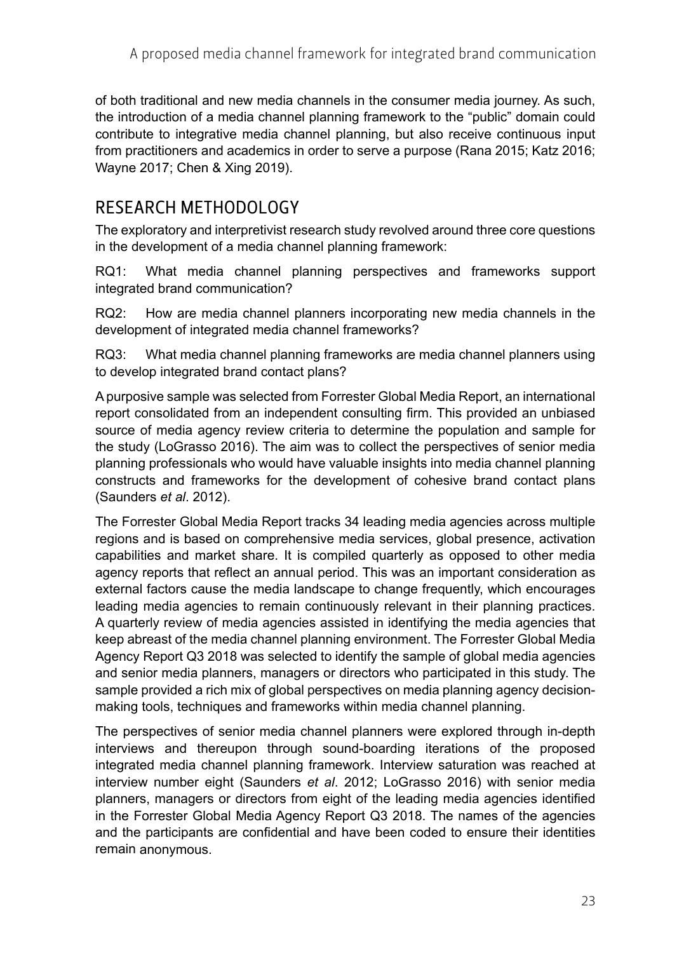of both traditional and new media channels in the consumer media journey. As such, the introduction of a media channel planning framework to the "public" domain could contribute to integrative media channel planning, but also receive continuous input from practitioners and academics in order to serve a purpose (Rana 2015; Katz 2016; Wayne 2017; Chen & Xing 2019).

## RESEARCH METHODOLOGY

The exploratory and interpretivist research study revolved around three core questions in the development of a media channel planning framework:

RQ1: What media channel planning perspectives and frameworks support integrated brand communication?

RQ2: How are media channel planners incorporating new media channels in the development of integrated media channel frameworks?

RQ3: What media channel planning frameworks are media channel planners using to develop integrated brand contact plans?

A purposive sample was selected from Forrester Global Media Report, an international report consolidated from an independent consulting firm. This provided an unbiased source of media agency review criteria to determine the population and sample for the study (LoGrasso 2016). The aim was to collect the perspectives of senior media planning professionals who would have valuable insights into media channel planning constructs and frameworks for the development of cohesive brand contact plans (Saunders *et al*. 2012).

The Forrester Global Media Report tracks 34 leading media agencies across multiple regions and is based on comprehensive media services, global presence, activation capabilities and market share. It is compiled quarterly as opposed to other media agency reports that reflect an annual period. This was an important consideration as external factors cause the media landscape to change frequently, which encourages leading media agencies to remain continuously relevant in their planning practices. A quarterly review of media agencies assisted in identifying the media agencies that keep abreast of the media channel planning environment. The Forrester Global Media Agency Report Q3 2018 was selected to identify the sample of global media agencies and senior media planners, managers or directors who participated in this study. The sample provided a rich mix of global perspectives on media planning agency decisionmaking tools, techniques and frameworks within media channel planning.

The perspectives of senior media channel planners were explored through in-depth interviews and thereupon through sound-boarding iterations of the proposed integrated media channel planning framework. Interview saturation was reached at interview number eight (Saunders *et al*. 2012; LoGrasso 2016) with senior media planners, managers or directors from eight of the leading media agencies identified in the Forrester Global Media Agency Report Q3 2018. The names of the agencies and the participants are confidential and have been coded to ensure their identities remain anonymous.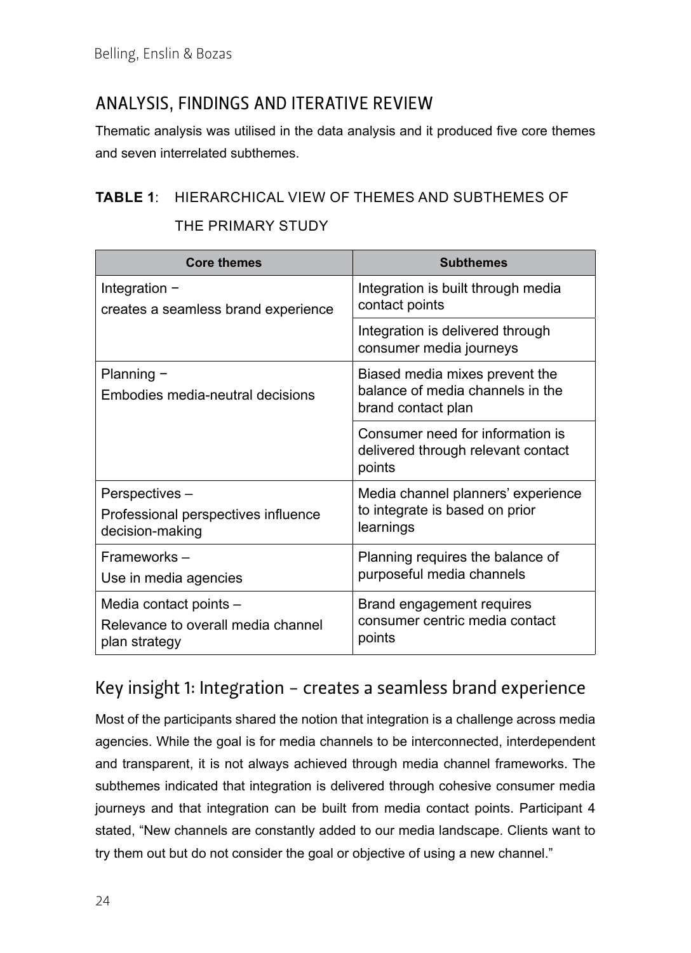# ANALYSIS, FINDINGS AND ITERATIVE REVIEW

Thematic analysis was utilised in the data analysis and it produced five core themes and seven interrelated subthemes.

#### **TABLE 1**: HIERARCHICAL VIEW OF THEMES AND SUBTHEMES OF

| THE PRIMARY STUDY |  |
|-------------------|--|
|-------------------|--|

| <b>Core themes</b>                             | <b>Subthemes</b>                                                                         |
|------------------------------------------------|------------------------------------------------------------------------------------------|
| Integration $-$                                | Integration is built through media                                                       |
| creates a seamless brand experience            | contact points                                                                           |
|                                                | Integration is delivered through<br>consumer media journeys                              |
| Planning -<br>Embodies media-neutral decisions | Biased media mixes prevent the<br>balance of media channels in the<br>brand contact plan |
|                                                | Consumer need for information is<br>delivered through relevant contact<br>points         |
| Perspectives –                                 | Media channel planners' experience                                                       |
| Professional perspectives influence            | to integrate is based on prior                                                           |
| decision-making                                | learnings                                                                                |
| Frameworks -                                   | Planning requires the balance of                                                         |
| Use in media agencies                          | purposeful media channels                                                                |
| Media contact points -                         | Brand engagement requires                                                                |
| Relevance to overall media channel             | consumer centric media contact                                                           |
| plan strategy                                  | points                                                                                   |

### Key insight 1: Integration − creates a seamless brand experience

Most of the participants shared the notion that integration is a challenge across media agencies. While the goal is for media channels to be interconnected, interdependent and transparent, it is not always achieved through media channel frameworks. The subthemes indicated that integration is delivered through cohesive consumer media journeys and that integration can be built from media contact points. Participant 4 stated, "New channels are constantly added to our media landscape. Clients want to try them out but do not consider the goal or objective of using a new channel."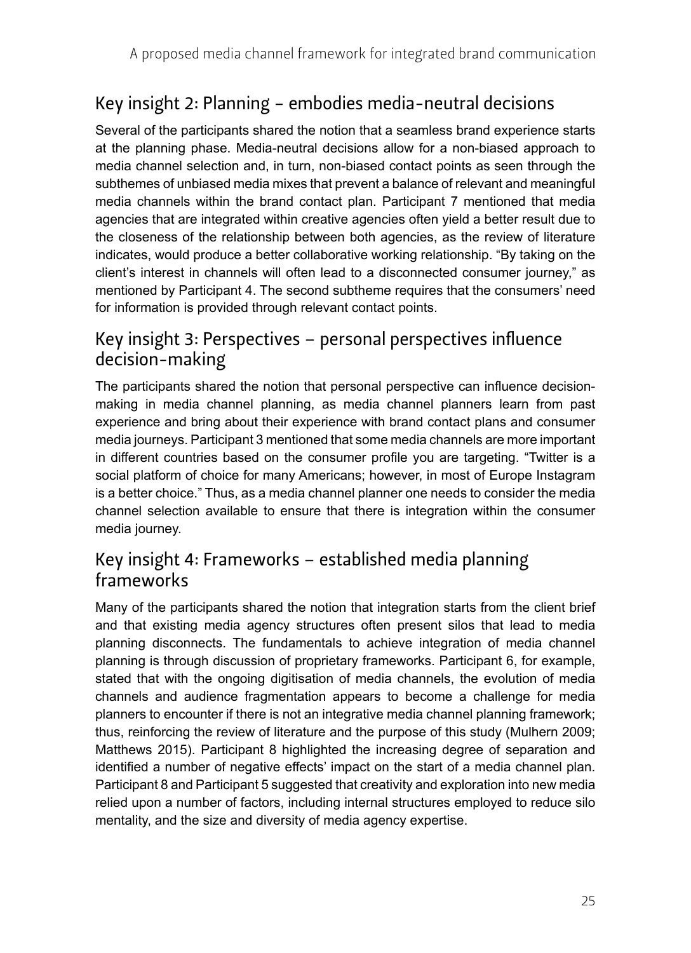# Key insight 2: Planning − embodies media-neutral decisions

Several of the participants shared the notion that a seamless brand experience starts at the planning phase. Media-neutral decisions allow for a non-biased approach to media channel selection and, in turn, non-biased contact points as seen through the subthemes of unbiased media mixes that prevent a balance of relevant and meaningful media channels within the brand contact plan. Participant 7 mentioned that media agencies that are integrated within creative agencies often yield a better result due to the closeness of the relationship between both agencies, as the review of literature indicates, would produce a better collaborative working relationship. "By taking on the client's interest in channels will often lead to a disconnected consumer journey," as mentioned by Participant 4. The second subtheme requires that the consumers' need for information is provided through relevant contact points.

#### Key insight 3: Perspectives – personal perspectives influence decision-making

The participants shared the notion that personal perspective can influence decisionmaking in media channel planning, as media channel planners learn from past experience and bring about their experience with brand contact plans and consumer media journeys. Participant 3 mentioned that some media channels are more important in different countries based on the consumer profile you are targeting. "Twitter is a social platform of choice for many Americans; however, in most of Europe Instagram is a better choice." Thus, as a media channel planner one needs to consider the media channel selection available to ensure that there is integration within the consumer media journey.

### Key insight 4: Frameworks – established media planning frameworks

Many of the participants shared the notion that integration starts from the client brief and that existing media agency structures often present silos that lead to media planning disconnects. The fundamentals to achieve integration of media channel planning is through discussion of proprietary frameworks. Participant 6, for example, stated that with the ongoing digitisation of media channels, the evolution of media channels and audience fragmentation appears to become a challenge for media planners to encounter if there is not an integrative media channel planning framework; thus, reinforcing the review of literature and the purpose of this study (Mulhern 2009; Matthews 2015). Participant 8 highlighted the increasing degree of separation and identified a number of negative effects' impact on the start of a media channel plan. Participant 8 and Participant 5 suggested that creativity and exploration into new media relied upon a number of factors, including internal structures employed to reduce silo mentality, and the size and diversity of media agency expertise.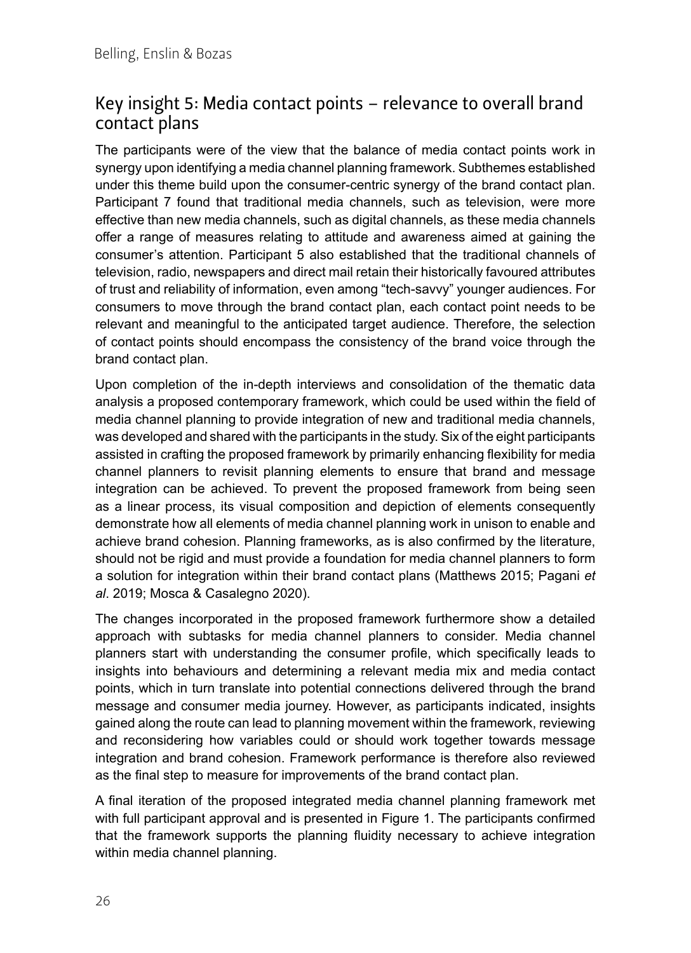### Key insight 5: Media contact points – relevance to overall brand contact plans

The participants were of the view that the balance of media contact points work in synergy upon identifying a media channel planning framework. Subthemes established under this theme build upon the consumer-centric synergy of the brand contact plan. Participant 7 found that traditional media channels, such as television, were more effective than new media channels, such as digital channels, as these media channels offer a range of measures relating to attitude and awareness aimed at gaining the consumer's attention. Participant 5 also established that the traditional channels of television, radio, newspapers and direct mail retain their historically favoured attributes of trust and reliability of information, even among "tech-savvy" younger audiences. For consumers to move through the brand contact plan, each contact point needs to be relevant and meaningful to the anticipated target audience. Therefore, the selection of contact points should encompass the consistency of the brand voice through the brand contact plan.

Upon completion of the in-depth interviews and consolidation of the thematic data analysis a proposed contemporary framework, which could be used within the field of media channel planning to provide integration of new and traditional media channels, was developed and shared with the participants in the study. Six of the eight participants assisted in crafting the proposed framework by primarily enhancing flexibility for media channel planners to revisit planning elements to ensure that brand and message integration can be achieved. To prevent the proposed framework from being seen as a linear process, its visual composition and depiction of elements consequently demonstrate how all elements of media channel planning work in unison to enable and achieve brand cohesion. Planning frameworks, as is also confirmed by the literature, should not be rigid and must provide a foundation for media channel planners to form a solution for integration within their brand contact plans (Matthews 2015; Pagani *et al*. 2019; Mosca & Casalegno 2020).

The changes incorporated in the proposed framework furthermore show a detailed approach with subtasks for media channel planners to consider. Media channel planners start with understanding the consumer profile, which specifically leads to insights into behaviours and determining a relevant media mix and media contact points, which in turn translate into potential connections delivered through the brand message and consumer media journey. However, as participants indicated, insights gained along the route can lead to planning movement within the framework, reviewing and reconsidering how variables could or should work together towards message integration and brand cohesion. Framework performance is therefore also reviewed as the final step to measure for improvements of the brand contact plan.

A final iteration of the proposed integrated media channel planning framework met with full participant approval and is presented in Figure 1. The participants confirmed that the framework supports the planning fluidity necessary to achieve integration within media channel planning.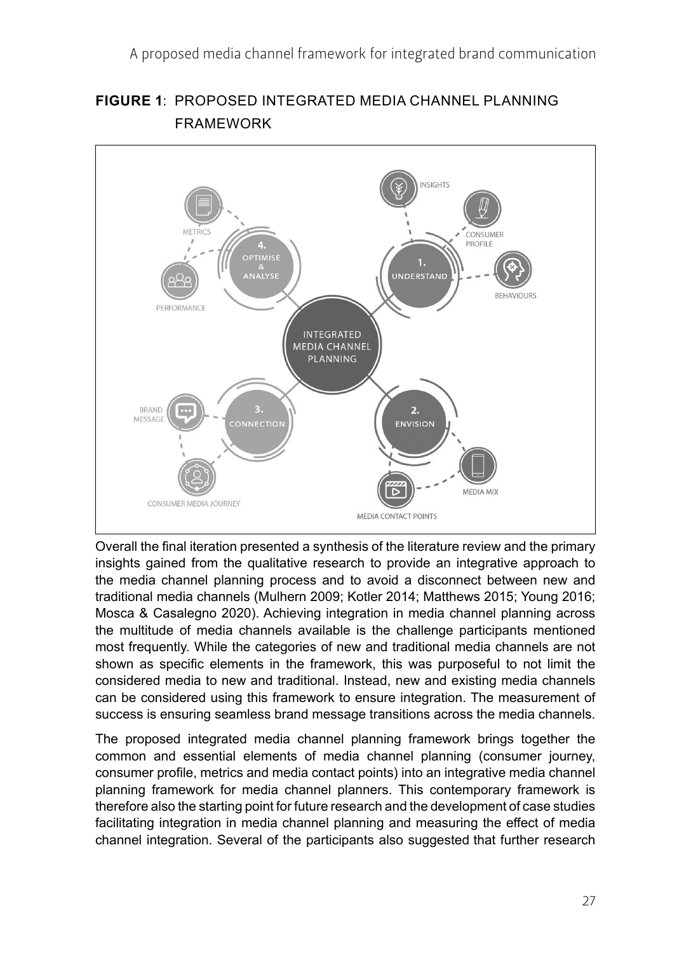

**FIGURE 1**: PROPOSED INTEGRATED MEDIA CHANNEL PLANNING FRAMEWORK

Overall the final iteration presented a synthesis of the literature review and the primary insights gained from the qualitative research to provide an integrative approach to the media channel planning process and to avoid a disconnect between new and traditional media channels (Mulhern 2009; Kotler 2014; Matthews 2015; Young 2016; Mosca & Casalegno 2020). Achieving integration in media channel planning across the multitude of media channels available is the challenge participants mentioned most frequently. While the categories of new and traditional media channels are not shown as specific elements in the framework, this was purposeful to not limit the considered media to new and traditional. Instead, new and existing media channels can be considered using this framework to ensure integration. The measurement of success is ensuring seamless brand message transitions across the media channels.

The proposed integrated media channel planning framework brings together the common and essential elements of media channel planning (consumer journey, consumer profile, metrics and media contact points) into an integrative media channel planning framework for media channel planners. This contemporary framework is therefore also the starting point for future research and the development of case studies facilitating integration in media channel planning and measuring the effect of media channel integration. Several of the participants also suggested that further research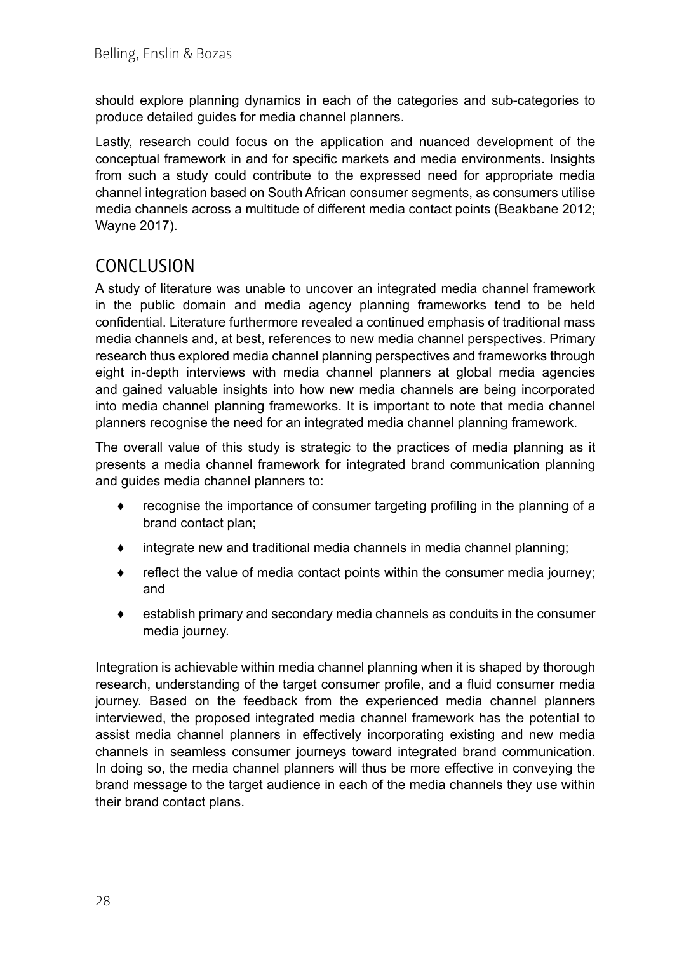should explore planning dynamics in each of the categories and sub-categories to produce detailed guides for media channel planners.

Lastly, research could focus on the application and nuanced development of the conceptual framework in and for specific markets and media environments. Insights from such a study could contribute to the expressed need for appropriate media channel integration based on South African consumer segments, as consumers utilise media channels across a multitude of different media contact points (Beakbane 2012; Wayne 2017).

### CONCLUSION

A study of literature was unable to uncover an integrated media channel framework in the public domain and media agency planning frameworks tend to be held confidential. Literature furthermore revealed a continued emphasis of traditional mass media channels and, at best, references to new media channel perspectives. Primary research thus explored media channel planning perspectives and frameworks through eight in-depth interviews with media channel planners at global media agencies and gained valuable insights into how new media channels are being incorporated into media channel planning frameworks. It is important to note that media channel planners recognise the need for an integrated media channel planning framework.

The overall value of this study is strategic to the practices of media planning as it presents a media channel framework for integrated brand communication planning and guides media channel planners to:

- ♦ recognise the importance of consumer targeting profiling in the planning of a brand contact plan;
- $\bullet$  integrate new and traditional media channels in media channel planning;
- ♦ reflect the value of media contact points within the consumer media journey; and
- ♦ establish primary and secondary media channels as conduits in the consumer media journey.

Integration is achievable within media channel planning when it is shaped by thorough research, understanding of the target consumer profile, and a fluid consumer media journey. Based on the feedback from the experienced media channel planners interviewed, the proposed integrated media channel framework has the potential to assist media channel planners in effectively incorporating existing and new media channels in seamless consumer journeys toward integrated brand communication. In doing so, the media channel planners will thus be more effective in conveying the brand message to the target audience in each of the media channels they use within their brand contact plans.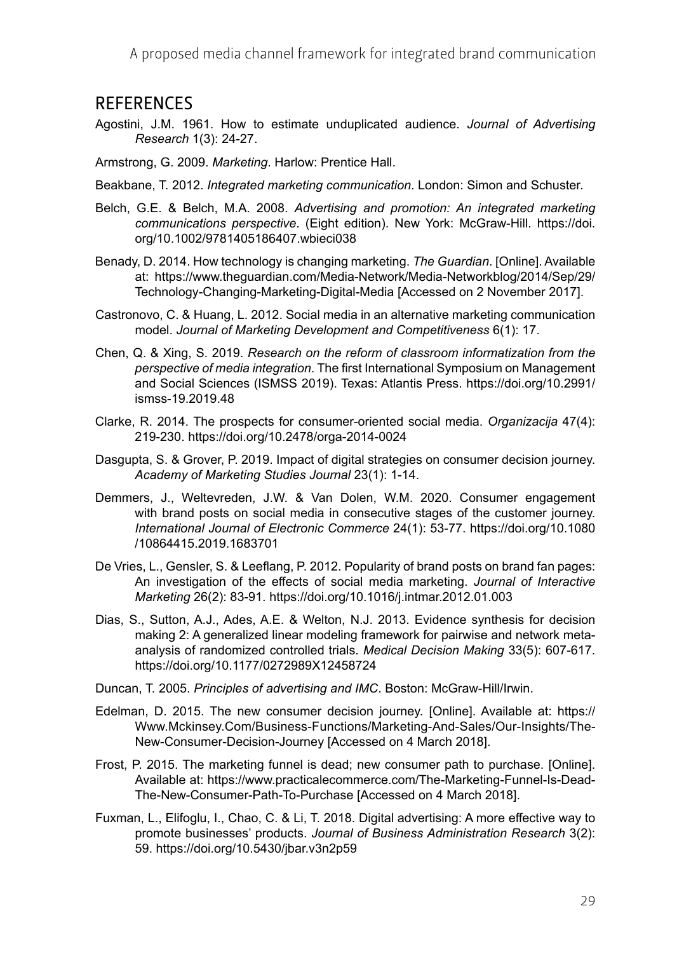#### **REFERENCES**

- Agostini, J.M. 1961. How to estimate unduplicated audience. *Journal of Advertising Research* 1(3): 24-27.
- Armstrong, G. 2009. *Marketing*. Harlow: Prentice Hall.
- Beakbane, T. 2012. *Integrated marketing communication*. London: Simon and Schuster.
- Belch, G.E. & Belch, M.A. 2008. *Advertising and promotion: An integrated marketing communications perspective*. (Eight edition). New York: McGraw-Hill. [https://doi.](https://doi.org/10.1002/9781405186407.wbieci038) [org/10.1002/9781405186407.wbieci038](https://doi.org/10.1002/9781405186407.wbieci038)
- Benady, D. 2014. How technology is changing marketing. *The Guardian*. [Online]. Available at: [https://www.theguardian.com/Media-Network/Media-Networkblog/2014/Sep/29/](https://www.theguardian.com/Media-Network/Media-Networkblog/2014/Sep/29/Technology-Changing-Marketing-Digital-Media) [Technology-Changing-Marketing-Digital-Media](https://www.theguardian.com/Media-Network/Media-Networkblog/2014/Sep/29/Technology-Changing-Marketing-Digital-Media) [Accessed on 2 November 2017].
- Castronovo, C. & Huang, L. 2012. Social media in an alternative marketing communication model. *Journal of Marketing Development and Competitiveness* 6(1): 17.
- Chen, Q. & Xing, S. 2019. *Research on the reform of classroom informatization from the perspective of media integration*. The first International Symposium on Management and Social Sciences (ISMSS 2019). Texas: Atlantis Press. [https://doi.org/10.2991/](https://doi.org/10.2991/ismss-19.2019.48) [ismss-19.2019.48](https://doi.org/10.2991/ismss-19.2019.48)
- Clarke, R. 2014. The prospects for consumer-oriented social media. *Organizacija* 47(4): 219-230.<https://doi.org/10.2478/orga-2014-0024>
- Dasgupta, S. & Grover, P. 2019. Impact of digital strategies on consumer decision journey. *Academy of Marketing Studies Journal* 23(1): 1-14.
- Demmers, J., Weltevreden, J.W. & Van Dolen, W.M. 2020. Consumer engagement with brand posts on social media in consecutive stages of the customer journey. *International Journal of Electronic Commerce* 24(1): 53-77. [https://doi.org/10.1080](https://doi.org/10.1080/10864415.2019.1683701) [/10864415.2019.1683701](https://doi.org/10.1080/10864415.2019.1683701)
- De Vries, L., Gensler, S. & Leeflang, P. 2012. Popularity of brand posts on brand fan pages: An investigation of the effects of social media marketing. *Journal of Interactive Marketing* 26(2): 83-91.<https://doi.org/10.1016/j.intmar.2012.01.003>
- Dias, S., Sutton, A.J., Ades, A.E. & Welton, N.J. 2013. Evidence synthesis for decision making 2: A generalized linear modeling framework for pairwise and network metaanalysis of randomized controlled trials. *Medical Decision Making* 33(5): 607-617. <https://doi.org/10.1177/0272989X12458724>
- Duncan, T. 2005. *Principles of advertising and IMC*. Boston: McGraw-Hill/Irwin.
- Edelman, D. 2015. The new consumer decision journey. [Online]. Available at: [https://](https://Www.Mckinsey.Com/Business-Functions/Marketing-And-Sales/Our-Insights/The-New-Consumer-Decision-Journey) [Www.Mckinsey.Com/Business-Functions/Marketing-And-Sales/Our-Insights/The-](https://Www.Mckinsey.Com/Business-Functions/Marketing-And-Sales/Our-Insights/The-New-Consumer-Decision-Journey)[New-Consumer-Decision-Journey](https://Www.Mckinsey.Com/Business-Functions/Marketing-And-Sales/Our-Insights/The-New-Consumer-Decision-Journey) [Accessed on 4 March 2018].
- Frost, P. 2015. The marketing funnel is dead; new consumer path to purchase. [Online]. Available at: [https://www.practicalecommerce.com/The-Marketing-Funnel-Is-Dead-](https://www.practicalecommerce.com/The-Marketing-Funnel-Is-Dead-The-New-Consumer-Path-To-Purchase)[The-New-Consumer-Path-To-Purchase](https://www.practicalecommerce.com/The-Marketing-Funnel-Is-Dead-The-New-Consumer-Path-To-Purchase) [Accessed on 4 March 2018].
- Fuxman, L., Elifoglu, I., Chao, C. & Li, T. 2018. Digital advertising: A more effective way to promote businesses' products. *Journal of Business Administration Research* 3(2): 59.<https://doi.org/10.5430/jbar.v3n2p59>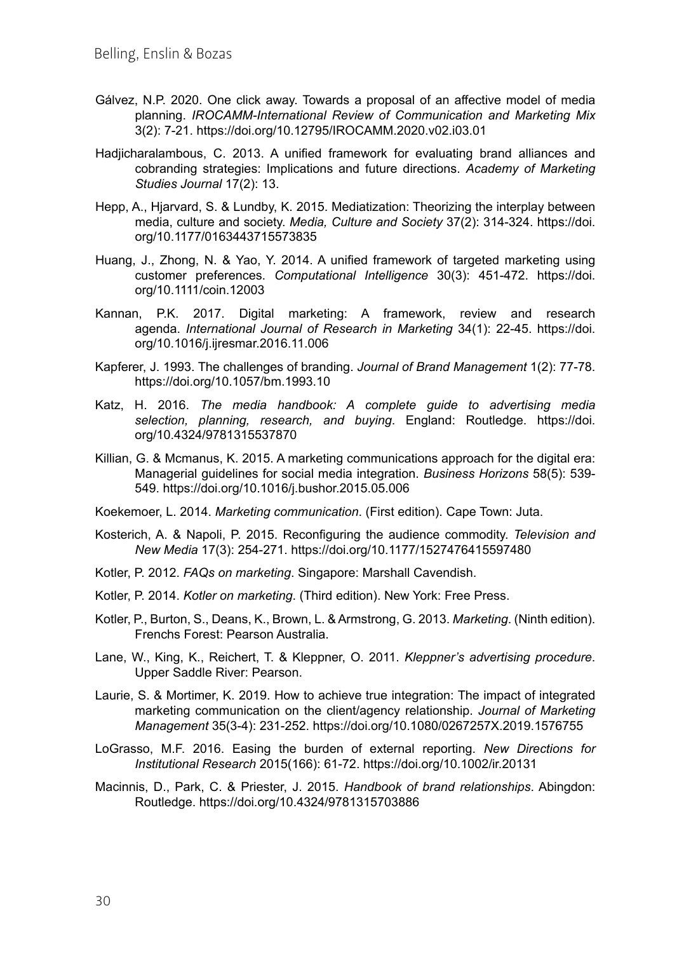- Gálvez, N.P. 2020. One click away. Towards a proposal of an affective model of media planning. *IROCAMM-International Review of Communication and Marketing Mix* 3(2): 7-21.<https://doi.org/10.12795/IROCAMM.2020.v02.i03.01>
- Hadjicharalambous, C. 2013. A unified framework for evaluating brand alliances and cobranding strategies: Implications and future directions. *Academy of Marketing Studies Journal* 17(2): 13.
- Hepp, A., Hjarvard, S. & Lundby, K. 2015. Mediatization: Theorizing the interplay between media, culture and society. *Media, Culture and Society* 37(2): 314-324. [https://doi.](https://doi.org/10.1177/0163443715573835) [org/10.1177/0163443715573835](https://doi.org/10.1177/0163443715573835)
- Huang, J., Zhong, N. & Yao, Y. 2014. A unified framework of targeted marketing using customer preferences. *Computational Intelligence* 30(3): 451-472. [https://doi.](https://doi.org/10.1111/coin.12003) [org/10.1111/coin.12003](https://doi.org/10.1111/coin.12003)
- Kannan, P.K. 2017. Digital marketing: A framework, review and research agenda. *International Journal of Research in Marketing* 34(1): 22-45. [https://doi.](https://doi.org/10.1016/j.ijresmar.2016.11.006) [org/10.1016/j.ijresmar.2016.11.006](https://doi.org/10.1016/j.ijresmar.2016.11.006)
- Kapferer, J. 1993. The challenges of branding. *Journal of Brand Management* 1(2): 77-78. <https://doi.org/10.1057/bm.1993.10>
- Katz, H. 2016. *The media handbook: A complete guide to advertising media selection, planning, research, and buying*. England: Routledge. [https://doi.](https://doi.org/10.4324/9781315537870) [org/10.4324/9781315537870](https://doi.org/10.4324/9781315537870)
- Killian, G. & Mcmanus, K. 2015. A marketing communications approach for the digital era: Managerial guidelines for social media integration. *Business Horizons* 58(5): 539- 549.<https://doi.org/10.1016/j.bushor.2015.05.006>
- Koekemoer, L. 2014. *Marketing communication*. (First edition). Cape Town: Juta.
- Kosterich, A. & Napoli, P. 2015. Reconfiguring the audience commodity. *Television and New Media* 17(3): 254-271. <https://doi.org/10.1177/1527476415597480>
- Kotler, P. 2012. *FAQs on marketing*. Singapore: Marshall Cavendish.
- Kotler, P. 2014. *Kotler on marketing*. (Third edition). New York: Free Press.
- Kotler, P., Burton, S., Deans, K., Brown, L. & Armstrong, G. 2013. *Marketing*. (Ninth edition). Frenchs Forest: Pearson Australia.
- Lane, W., King, K., Reichert, T. & Kleppner, O. 2011. *Kleppner's advertising procedure*. Upper Saddle River: Pearson.
- Laurie, S. & Mortimer, K. 2019. How to achieve true integration: The impact of integrated marketing communication on the client/agency relationship. *Journal of Marketing Management* 35(3-4): 231-252.<https://doi.org/10.1080/0267257X.2019.1576755>
- LoGrasso, M.F. 2016. Easing the burden of external reporting. *New Directions for Institutional Research* 2015(166): 61-72.<https://doi.org/10.1002/ir.20131>
- Macinnis, D., Park, C. & Priester, J. 2015. *Handbook of brand relationships*. Abingdon: Routledge.<https://doi.org/10.4324/9781315703886>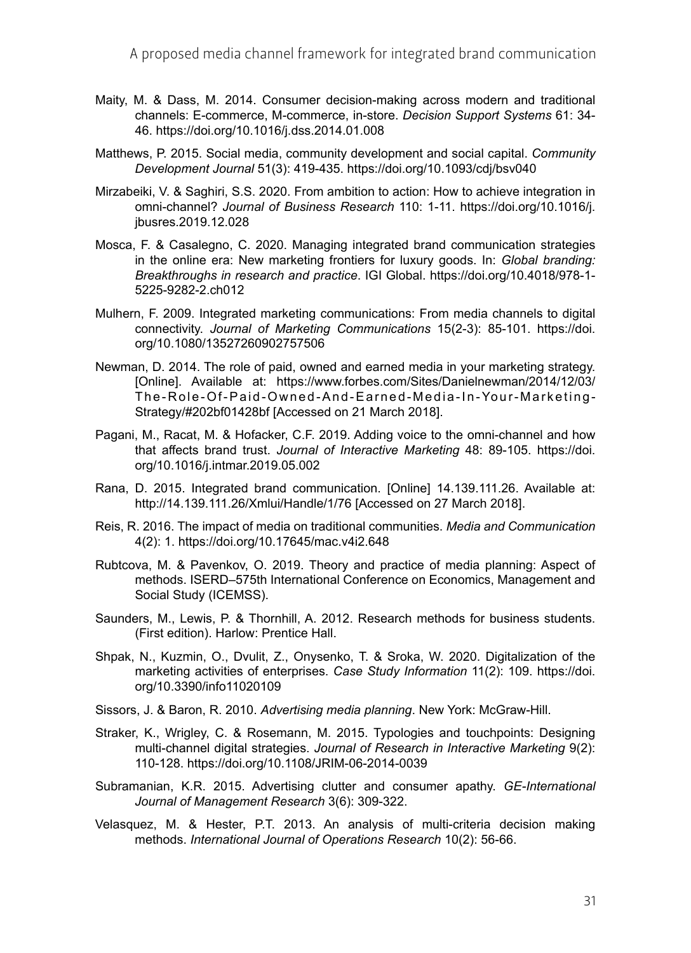- Maity, M. & Dass, M. 2014. Consumer decision-making across modern and traditional channels: E-commerce, M-commerce, in-store. *Decision Support Systems* 61: 34- 46.<https://doi.org/10.1016/j.dss.2014.01.008>
- Matthews, P. 2015. Social media, community development and social capital. *Community Development Journal* 51(3): 419-435. <https://doi.org/10.1093/cdj/bsv040>
- Mirzabeiki, V. & Saghiri, S.S. 2020. From ambition to action: How to achieve integration in omni-channel? *Journal of Business Research* 110: 1-11. [https://doi.org/10.1016/j.](https://doi.org/10.1016/j.jbusres.2019.12.028) [jbusres.2019.12.028](https://doi.org/10.1016/j.jbusres.2019.12.028)
- Mosca, F. & Casalegno, C. 2020. Managing integrated brand communication strategies in the online era: New marketing frontiers for luxury goods. In: *Global branding: Breakthroughs in research and practice*. IGI Global. [https://doi.org/10.4018/978-1-](https://doi.org/10.4018/978-1-5225-9282-2.ch012) [5225-9282-2.ch012](https://doi.org/10.4018/978-1-5225-9282-2.ch012)
- Mulhern, F. 2009. Integrated marketing communications: From media channels to digital connectivity. *Journal of Marketing Communications* 15(2-3): 85-101. [https://doi.](https://doi.org/10.1080/13527260902757506) [org/10.1080/13527260902757506](https://doi.org/10.1080/13527260902757506)
- Newman, D. 2014. The role of paid, owned and earned media in your marketing strategy. [Online]. Available at: [https://www.forbes.com/Sites/Danielnewman/2014/12/03/](https://www.forbes.com/Sites/Danielnewman/2014/12/03/The-Role-Of-Paid-Owned-And-Earned-Media-In-Your-Marketing-Strategy/#202bf01428bf) [The-Role-Of-Paid-Owned-And-Earned-Media-In-Your-Marketing-](https://www.forbes.com/Sites/Danielnewman/2014/12/03/The-Role-Of-Paid-Owned-And-Earned-Media-In-Your-Marketing-Strategy/#202bf01428bf)[Strategy/#202bf01428bf](https://www.forbes.com/Sites/Danielnewman/2014/12/03/The-Role-Of-Paid-Owned-And-Earned-Media-In-Your-Marketing-Strategy/#202bf01428bf) [Accessed on 21 March 2018].
- Pagani, M., Racat, M. & Hofacker, C.F. 2019. Adding voice to the omni-channel and how that affects brand trust. *Journal of Interactive Marketing* 48: 89-105. [https://doi.](https://doi.org/10.1016/j.intmar.2019.05.002) [org/10.1016/j.intmar.2019.05.002](https://doi.org/10.1016/j.intmar.2019.05.002)
- Rana, D. 2015. Integrated brand communication. [Online] 14.139.111.26. Available at: <http://14.139.111.26/Xmlui/Handle/1/76> [Accessed on 27 March 2018].
- Reis, R. 2016. The impact of media on traditional communities. *Media and Communication* 4(2): 1.<https://doi.org/10.17645/mac.v4i2.648>
- Rubtcova, M. & Pavenkov, O. 2019. Theory and practice of media planning: Aspect of methods. ISERD–575th International Conference on Economics, Management and Social Study (ICEMSS).
- Saunders, M., Lewis, P. & Thornhill, A. 2012. Research methods for business students. (First edition). Harlow: Prentice Hall.
- Shpak, N., Kuzmin, O., Dvulit, Z., Onysenko, T. & Sroka, W. 2020. Digitalization of the marketing activities of enterprises. *Case Study Information* 11(2): 109. [https://doi.](https://doi.org/10.3390/info11020109) [org/10.3390/info11020109](https://doi.org/10.3390/info11020109)
- Sissors, J. & Baron, R. 2010. *Advertising media planning*. New York: McGraw-Hill.
- Straker, K., Wrigley, C. & Rosemann, M. 2015. Typologies and touchpoints: Designing multi-channel digital strategies. *Journal of Research in Interactive Marketing* 9(2): 110-128. <https://doi.org/10.1108/JRIM-06-2014-0039>
- Subramanian, K.R. 2015. Advertising clutter and consumer apathy. *GE-International Journal of Management Research* 3(6): 309-322.
- Velasquez, M. & Hester, P.T. 2013. An analysis of multi-criteria decision making methods. *International Journal of Operations Research* 10(2): 56-66.